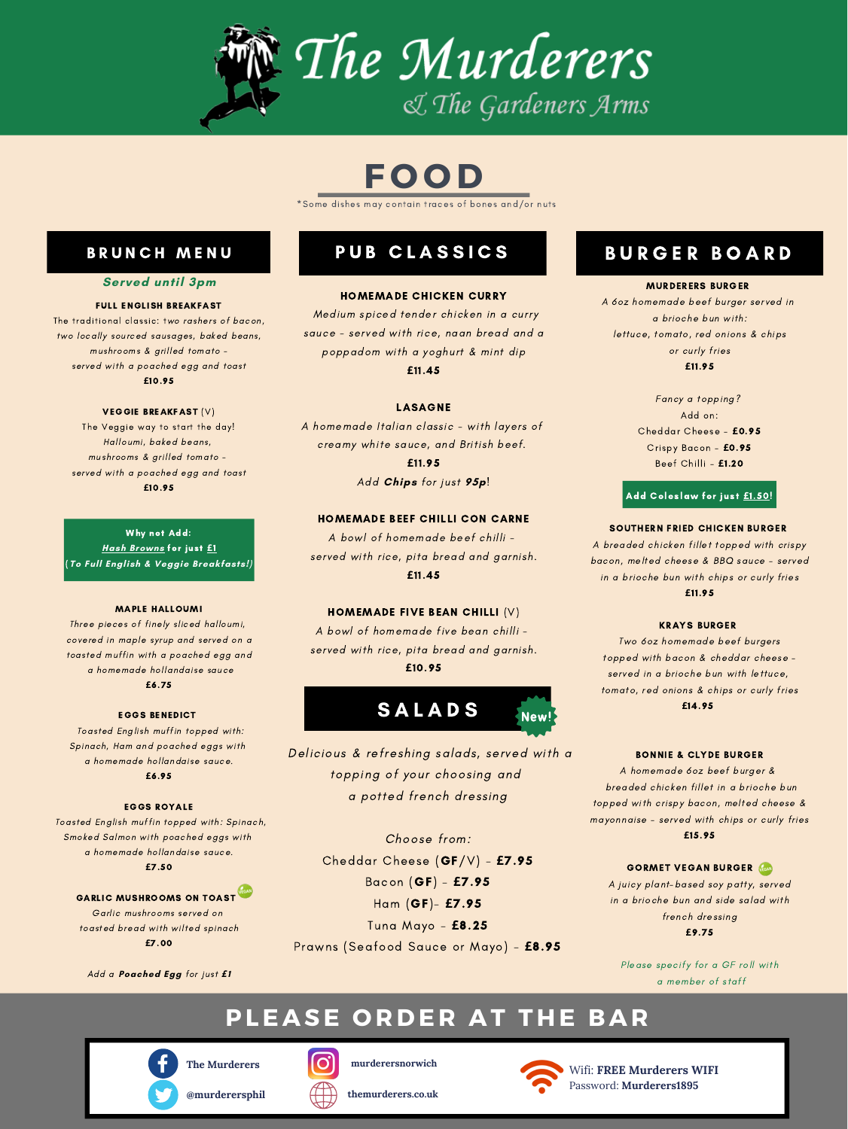#### MURDERERS BURGER

A 6oz homemade beef burger served in a brioche bun with: lettuce, tomato, red onions & chips or curly fries **£**11.95

> Fancy a topping? Add on: Cheddar Cheese - **£**0.95 Crispy Bacon - **£**0.95 Beef Chilli - **£**1.20

#### Add Coleslaw for just **£**1.50!

#### SOUTHERN FRIED CHICKEN BURGER

A breaded chicken fillet topped with crispy bacon, melted cheese & BBQ sauce - served in a brioche bun with chips or curly fries

#### **£**11.95

#### KRAYS BURGER

Two 6oz homemade beef burgers topped with bacon & cheddar cheese served in a brioche bun with lettuce, tomato, red onions & chips or curly fries **£**14.95

#### BONNIE & CLYDE BURGER

A homemade 6oz beef burger & breaded chicken fillet in a brioche bun topped with crispy bacon, melted cheese & mayonnaise - served with chips or curly fries

#### **£**15.95

#### **GORMET VEGAN BURGER VEGARI**

A juicy plant-based soy patty, served in a brioche bun and side salad with french dressing **£**9.75

Please specify for a GF roll with a member of staff

### B U R G E R B O A R D

**The Murderers**





**murderersnorwich**

**themurderers.co.uk**



Wifi: **FREE Murderers WIFI** Password: **Murderers1895**

#### HOMEMADE CHICKEN CURRY

Medium spiced tender chicken in a curry sauce - served with rice, naan bread and a poppadom with a yoghurt & mint dip

**£**11.45

#### LASAGNE

A homemade Italian classic - with layers of creamy white sauce, and British beef.

> **£**11.95 Add **Chips** for just **95p**!

#### HOMEMADE BEEF CHILLI CON CARNE

A bowl of homemade beef chilli served with rice, pita bread and garnish.

#### **£**11.45

#### HOMEMADE FIVE BEAN CHILLI (V)

A bowl of homemade five bean chilli served with rice, pita bread and garnish. **£**10.95



# **PLE A SE O R D E R A T T H E B A R**



#### FULL ENGLISH BREAKFAST

The traditional classic: two rashers of bacon, two locally sourced sausages, baked beans, mushrooms & grilled tomato served with a poached egg and toast **£**10.95

#### VEGGIE BREAKFAST (V)

The Veggie way to start the day! Halloumi, baked beans, mushrooms & grilled tomato served with a poached egg and toast **£**10.95

Why not Add: **Hash Browns** for just **£**1 (**To Full English & Veggie Breakfasts!)**

# PUB CLASSICS

#### MAPLE HALLOUMI

Three pieces of finely sliced halloumi, covered in maple syrup and served on a toasted muffin with a poached egg and a homemade hollandaise sauce **£**6.75

#### EGGS BENEDICT

Toasted English muffin topped with: Spinach, Ham and poached eggs with a homemade hollandaise sauce. **£**6.95

#### EGGS ROYALE

Toasted English muffin topped with: Spinach, Smoked Salmon with poached eggs with a homemade hollandaise sauce. **£**7.50

### GARLIC MUSHROOMS ON TOAST

Garlic mushrooms served on toasted bread with wilted spinach **£**7.00

Add a **Poached Egg** for just *£***1**



# **F O O D**

\*Some dishes may contain traces of bones and/or nuts

### BRUNCH MENU

### **Served until 3pm**

Delicious & refreshing salads, served with a topping of your choosing and a potted french dressing

Choose from:

Cheddar Cheese (GF/V) - **£**7.95

Bacon (GF) - **£**7.95

Ham (GF)- **£**7.95

Tuna Mayo - **£**8.25

Prawns (Seafood Sauce or Mayo) - **£**8.95